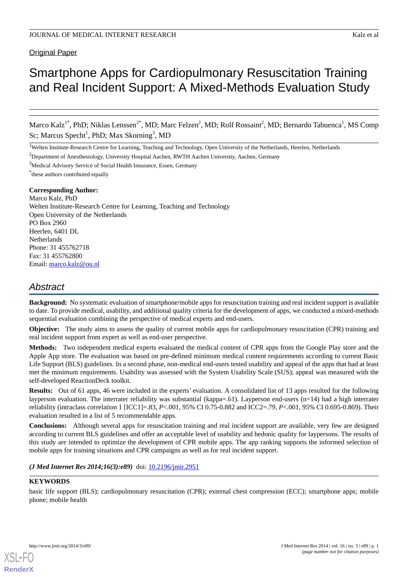# **Original Paper**

# Smartphone Apps for Cardiopulmonary Resuscitation Training and Real Incident Support: A Mixed-Methods Evaluation Study

Marco Kalz<sup>1\*</sup>, PhD; Niklas Lenssen<sup>2\*</sup>, MD; Marc Felzen<sup>2</sup>, MD; Rolf Rossaint<sup>2</sup>, MD; Bernardo Tabuenca<sup>1</sup>, MS Comp Sc; Marcus Specht<sup>1</sup>, PhD; Max Skorning<sup>3</sup>, MD

<sup>1</sup>Welten Institute-Research Centre for Learning, Teaching and Technology, Open University of the Netherlands, Heerlen, Netherlands

<sup>2</sup>Department of Anesthesiology, University Hospital Aachen, RWTH Aachen University, Aachen, Germany

<sup>3</sup>Medical Advisory Service of Social Health Insurance, Essen, Germany

\* these authors contributed equally

#### **Corresponding Author:**

Marco Kalz, PhD Welten Institute-Research Centre for Learning, Teaching and Technology Open University of the Netherlands PO Box 2960 Heerlen, 6401 DL Netherlands Phone: 31 455762718 Fax: 31 455762800 Email: [marco.kalz@ou.nl](mailto:marco.kalz@ou.nl)

# *Abstract*

**Background:** No systematic evaluation of smartphone/mobile apps for resuscitation training and real incident support is available to date. To provide medical, usability, and additional quality criteria for the development of apps, we conducted a mixed-methods sequential evaluation combining the perspective of medical experts and end-users.

**Objective:** The study aims to assess the quality of current mobile apps for cardiopulmonary resuscitation (CPR) training and real incident support from expert as well as end-user perspective.

**Methods:** Two independent medical experts evaluated the medical content of CPR apps from the Google Play store and the Apple App store. The evaluation was based on pre-defined minimum medical content requirements according to current Basic Life Support (BLS) guidelines. In a second phase, non-medical end-users tested usability and appeal of the apps that had at least met the minimum requirements. Usability was assessed with the System Usability Scale (SUS); appeal was measured with the self-developed ReactionDeck toolkit.

**Results:** Out of 61 apps, 46 were included in the experts' evaluation. A consolidated list of 13 apps resulted for the following layperson evaluation. The interrater reliability was substantial (kappa=.61). Layperson end-users (n=14) had a high interrater reliability (intraclass correlation 1 [ICC1]=.83, *P*<.001, 95% CI 0.75-0.882 and ICC2=.79, *P*<.001, 95% CI 0.695-0.869). Their evaluation resulted in a list of 5 recommendable apps.

**Conclusions:** Although several apps for resuscitation training and real incident support are available, very few are designed according to current BLS guidelines and offer an acceptable level of usability and hedonic quality for laypersons. The results of this study are intended to optimize the development of CPR mobile apps. The app ranking supports the informed selection of mobile apps for training situations and CPR campaigns as well as for real incident support.

#### *(J Med Internet Res 2014;16(3):e89)* doi:  $10.2196/$ jmir.2951

#### **KEYWORDS**

basic life support (BLS); cardiopulmonary resuscitation (CPR); external chest compression (ECC); smartphone apps; mobile phone; mobile health

**[RenderX](http://www.renderx.com/)**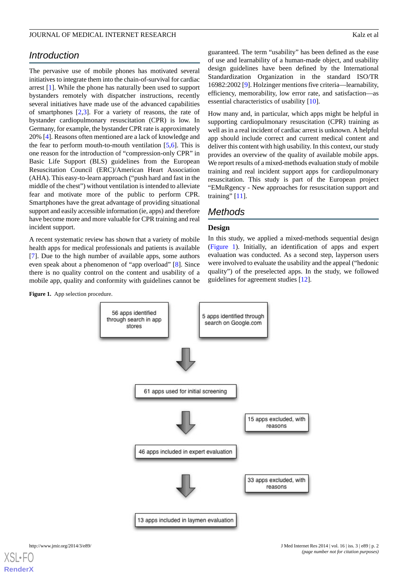# *Introduction*

The pervasive use of mobile phones has motivated several initiatives to integrate them into the chain-of-survival for cardiac arrest [[1\]](#page-12-0). While the phone has naturally been used to support bystanders remotely with dispatcher instructions, recently several initiatives have made use of the advanced capabilities of smartphones [\[2](#page-12-1),[3](#page-12-2)]. For a variety of reasons, the rate of bystander cardiopulmonary resuscitation (CPR) is low. In Germany, for example, the bystander CPR rate is approximately 20% [\[4](#page-12-3)]. Reasons often mentioned are a lack of knowledge and the fear to perform mouth-to-mouth ventilation  $[5,6]$  $[5,6]$  $[5,6]$ . This is one reason for the introduction of "compression-only CPR" in Basic Life Support (BLS) guidelines from the European Resuscitation Council (ERC)/American Heart Association (AHA). This easy-to-learn approach ("push hard and fast in the middle of the chest") without ventilation is intended to alleviate fear and motivate more of the public to perform CPR. Smartphones have the great advantage of providing situational support and easily accessible information (ie, apps) and therefore have become more and more valuable for CPR training and real incident support.

<span id="page-1-0"></span>A recent systematic review has shown that a variety of mobile health apps for medical professionals and patients is available [[7\]](#page-12-6). Due to the high number of available apps, some authors even speak about a phenomenon of "app overload" [[8\]](#page-12-7). Since there is no quality control on the content and usability of a mobile app, quality and conformity with guidelines cannot be

Figure 1. App selection procedure.



guaranteed. The term "usability" has been defined as the ease of use and learnability of a human-made object, and usability design guidelines have been defined by the International Standardization Organization in the standard ISO/TR 16982:2002 [[9\]](#page-12-8). Holzinger mentions five criteria—learnability, efficiency, memorability, low error rate, and satisfaction—as essential characteristics of usability [\[10](#page-12-9)].

How many and, in particular, which apps might be helpful in supporting cardiopulmonary resuscitation (CPR) training as well as in a real incident of cardiac arrest is unknown. A helpful app should include correct and current medical content and deliver this content with high usability. In this context, our study provides an overview of the quality of available mobile apps. We report results of a mixed-methods evaluation study of mobile training and real incident support apps for cardiopulmonary resuscitation. This study is part of the European project "EMuRgency - New approaches for resuscitation support and training" [\[11](#page-12-10)].

# *Methods*

# **Design**

In this study, we applied a mixed-methods sequential design ([Figure 1\)](#page-1-0). Initially, an identification of apps and expert evaluation was conducted. As a second step, layperson users were involved to evaluate the usability and the appeal ("hedonic quality") of the preselected apps. In the study, we followed guidelines for agreement studies [\[12](#page-12-11)].



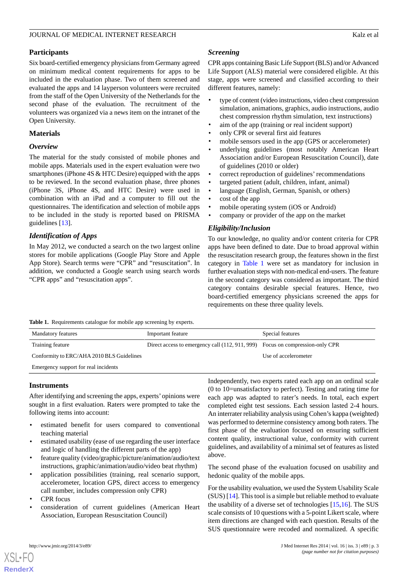## **Participants**

Six board-certified emergency physicians from Germany agreed on minimum medical content requirements for apps to be included in the evaluation phase. Two of them screened and evaluated the apps and 14 layperson volunteers were recruited from the staff of the Open University of the Netherlands for the second phase of the evaluation. The recruitment of the volunteers was organized via a news item on the intranet of the Open University.

## **Materials**

# *Overview*

The material for the study consisted of mobile phones and mobile apps. Materials used in the expert evaluation were two smartphones (iPhone 4S & HTC Desire) equipped with the apps to be reviewed. In the second evaluation phase, three phones (iPhone 3S, iPhone 4S, and HTC Desire) were used in combination with an iPad and a computer to fill out the questionnaires. The identification and selection of mobile apps to be included in the study is reported based on PRISMA guidelines [[13\]](#page-12-12).

# *Identification of Apps*

In May 2012, we conducted a search on the two largest online stores for mobile applications (Google Play Store and Apple App Store). Search terms were "CPR" and "resuscitation". In addition, we conducted a Google search using search words "CPR apps" and "resuscitation apps".

# *Screening*

CPR apps containing Basic Life Support (BLS) and/or Advanced Life Support (ALS) material were considered eligible. At this stage, apps were screened and classified according to their different features, namely:

- type of content (video instructions, video chest compression simulation, animations, graphics, audio instructions, audio chest compression rhythm simulation, text instructions)
- aim of the app (training or real incident support)
- only CPR or several first aid features
- mobile sensors used in the app (GPS or accelerometer)
- underlying guidelines (most notably American Heart Association and/or European Resuscitation Council), date of guidelines (2010 or older)
- correct reproduction of guidelines' recommendations
- targeted patient (adult, children, infant, animal)
- language (English, German, Spanish, or others)
- cost of the app
- mobile operating system (iOS or Android)
- company or provider of the app on the market

# *Eligibility/Inclusion*

To our knowledge, no quality and/or content criteria for CPR apps have been defined to date. Due to broad approval within the resuscitation research group, the features shown in the first category in [Table 1](#page-2-0) were set as mandatory for inclusion in further evaluation steps with non-medical end-users. The feature in the second category was considered as important. The third category contains desirable special features. Hence, two board-certified emergency physicians screened the apps for requirements on these three quality levels.

<span id="page-2-0"></span>**Table 1.** Requirements catalogue for mobile app screening by experts.

| <b>Mandatory features</b>                 | Important feature                                                             | Special features     |
|-------------------------------------------|-------------------------------------------------------------------------------|----------------------|
| Training feature                          | Direct access to emergency call (112, 911, 999) Focus on compression-only CPR |                      |
| Conformity to ERC/AHA 2010 BLS Guidelines |                                                                               | Use of accelerometer |
| Emergency support for real incidents      |                                                                               |                      |

# **Instruments**

After identifying and screening the apps, experts'opinions were sought in a first evaluation. Raters were prompted to take the following items into account:

- estimated benefit for users compared to conventional teaching material
- estimated usability (ease of use regarding the user interface and logic of handling the different parts of the app)
- feature quality (video/graphic/picture/animation/audio/text instructions, graphic/animation/audio/video beat rhythm)
- application possibilities (training, real scenario support, accelerometer, location GPS, direct access to emergency call number, includes compression only CPR)
- CPR focus

[XSL](http://www.w3.org/Style/XSL)•FO **[RenderX](http://www.renderx.com/)**

• consideration of current guidelines (American Heart Association, European Resuscitation Council)

Independently, two experts rated each app on an ordinal scale (0 to 10=unsatisfactory to perfect). Testing and rating time for each app was adapted to rater's needs. In total, each expert completed eight test sessions. Each session lasted 2-4 hours. An interrater reliability analysis using Cohen's kappa (weighted) was performed to determine consistency among both raters. The first phase of the evaluation focused on ensuring sufficient content quality, instructional value, conformity with current guidelines, and availability of a minimal set of features as listed above.

The second phase of the evaluation focused on usability and hedonic quality of the mobile apps.

For the usability evaluation, we used the System Usability Scale (SUS) [[14\]](#page-13-0). This tool is a simple but reliable method to evaluate the usability of a diverse set of technologies [\[15](#page-13-1),[16\]](#page-13-2). The SUS scale consists of 10 questions with a 5-point Likert scale, where item directions are changed with each question. Results of the SUS questionnaire were recoded and normalized. A specific

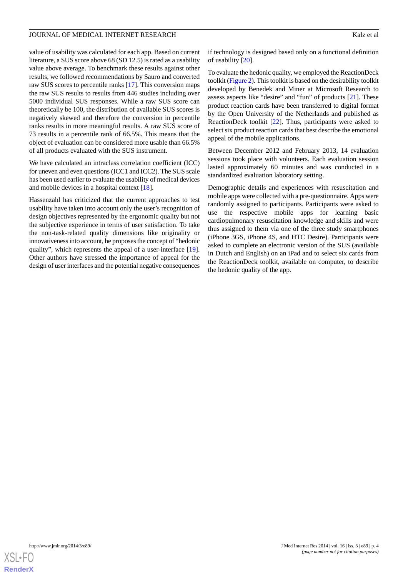value of usability was calculated for each app. Based on current literature, a SUS score above 68 (SD 12.5) is rated as a usability value above average. To benchmark these results against other results, we followed recommendations by Sauro and converted raw SUS scores to percentile ranks [[17\]](#page-13-3). This conversion maps the raw SUS results to results from 446 studies including over 5000 individual SUS responses. While a raw SUS score can theoretically be 100, the distribution of available SUS scores is negatively skewed and therefore the conversion in percentile ranks results in more meaningful results. A raw SUS score of 73 results in a percentile rank of 66.5%. This means that the object of evaluation can be considered more usable than 66.5% of all products evaluated with the SUS instrument.

We have calculated an intraclass correlation coefficient (ICC) for uneven and even questions (ICC1 and ICC2). The SUS scale has been used earlier to evaluate the usability of medical devices and mobile devices in a hospital context [\[18](#page-13-4)].

Hassenzahl has criticized that the current approaches to test usability have taken into account only the user's recognition of design objectives represented by the ergonomic quality but not the subjective experience in terms of user satisfaction. To take the non-task-related quality dimensions like originality or innovativeness into account, he proposes the concept of "hedonic quality", which represents the appeal of a user-interface [[19\]](#page-13-5). Other authors have stressed the importance of appeal for the design of user interfaces and the potential negative consequences

if technology is designed based only on a functional definition of usability [[20\]](#page-13-6).

To evaluate the hedonic quality, we employed the ReactionDeck toolkit ([Figure 2](#page-4-0)). This toolkit is based on the desirability toolkit developed by Benedek and Miner at Microsoft Research to assess aspects like "desire" and "fun" of products [\[21](#page-13-7)]. These product reaction cards have been transferred to digital format by the Open University of the Netherlands and published as ReactionDeck toolkit [[22\]](#page-13-8). Thus, participants were asked to select six product reaction cards that best describe the emotional appeal of the mobile applications.

Between December 2012 and February 2013, 14 evaluation sessions took place with volunteers. Each evaluation session lasted approximately 60 minutes and was conducted in a standardized evaluation laboratory setting.

Demographic details and experiences with resuscitation and mobile apps were collected with a pre-questionnaire. Apps were randomly assigned to participants. Participants were asked to use the respective mobile apps for learning basic cardiopulmonary resuscitation knowledge and skills and were thus assigned to them via one of the three study smartphones (iPhone 3GS, iPhone 4S, and HTC Desire). Participants were asked to complete an electronic version of the SUS (available in Dutch and English) on an iPad and to select six cards from the ReactionDeck toolkit, available on computer, to describe the hedonic quality of the app.

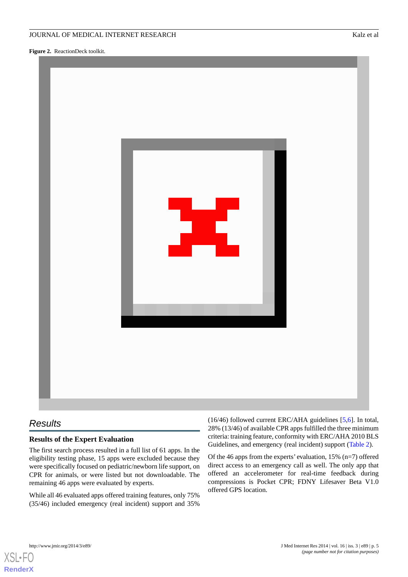<span id="page-4-0"></span>**Figure 2.** ReactionDeck toolkit.



# *Results*

# **Results of the Expert Evaluation**

The first search process resulted in a full list of 61 apps. In the eligibility testing phase, 15 apps were excluded because they were specifically focused on pediatric/newborn life support, on CPR for animals, or were listed but not downloadable. The remaining 46 apps were evaluated by experts.

While all 46 evaluated apps offered training features, only 75% (35/46) included emergency (real incident) support and 35% (16/46) followed current ERC/AHA guidelines [[5](#page-12-4)[,6](#page-12-5)]. In total, 28% (13/46) of available CPR apps fulfilled the three minimum criteria: training feature, conformity with ERC/AHA 2010 BLS Guidelines, and emergency (real incident) support ([Table 2](#page-5-0)).

Of the 46 apps from the experts' evaluation, 15% (n=7) offered direct access to an emergency call as well. The only app that offered an accelerometer for real-time feedback during compressions is Pocket CPR; FDNY Lifesaver Beta V1.0 offered GPS location.

[XSL](http://www.w3.org/Style/XSL)•FO **[RenderX](http://www.renderx.com/)**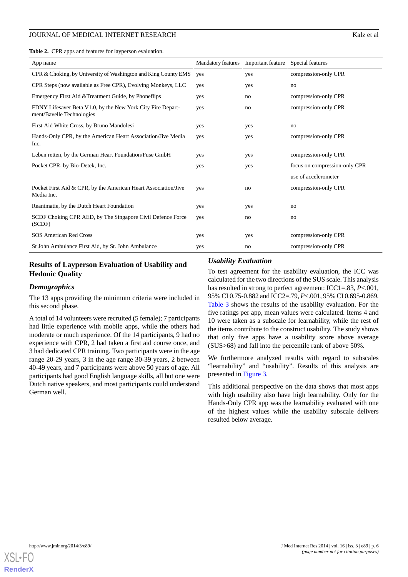<span id="page-5-0"></span>**Table 2.** CPR apps and features for layperson evaluation.

| App name                                                                                 | Mandatory features | Important feature<br>Special features |                               |
|------------------------------------------------------------------------------------------|--------------------|---------------------------------------|-------------------------------|
| CPR & Choking, by University of Washington and King County EMS                           | yes                | yes                                   | compression-only CPR          |
| CPR Steps (now available as Free CPR), Evolving Monkeys, LLC                             | yes                | yes                                   | no                            |
| Emergency First Aid & Treatment Guide, by Phoneflips                                     | yes                | no                                    | compression-only CPR          |
| FDNY Lifesaver Beta V1.0, by the New York City Fire Depart-<br>ment/Bavelle Technologies | yes                | no                                    | compression-only CPR          |
| First Aid White Cross, by Bruno Mandolesi                                                | yes                | yes                                   | no                            |
| Hands-Only CPR, by the American Heart Association/Jive Media<br>Inc.                     | yes                | yes                                   | compression-only CPR          |
| Leben retten, by the German Heart Foundation/Fuse GmbH                                   | yes                | yes                                   | compression-only CPR          |
| Pocket CPR, by Bio-Detek, Inc.                                                           | yes                | yes                                   | focus on compression-only CPR |
|                                                                                          |                    |                                       | use of accelerometer          |
| Pocket First Aid & CPR, by the American Heart Association/Jive<br>Media Inc.             | yes                | no                                    | compression-only CPR          |
| Reanimatie, by the Dutch Heart Foundation                                                | yes                | yes                                   | no                            |
| SCDF Choking CPR AED, by The Singapore Civil Defence Force<br>(SCDF)                     | yes                | no                                    | no                            |
| SOS American Red Cross                                                                   | yes                | yes                                   | compression-only CPR          |
| St John Ambulance First Aid, by St. John Ambulance                                       | yes                | no                                    | compression-only CPR          |

## **Results of Layperson Evaluation of Usability and Hedonic Quality**

#### *Demographics*

The 13 apps providing the minimum criteria were included in this second phase.

A total of 14 volunteers were recruited (5 female); 7 participants had little experience with mobile apps, while the others had moderate or much experience. Of the 14 participants, 9 had no experience with CPR, 2 had taken a first aid course once, and 3 had dedicated CPR training. Two participants were in the age range 20-29 years, 3 in the age range 30-39 years, 2 between 40-49 years, and 7 participants were above 50 years of age. All participants had good English language skills, all but one were Dutch native speakers, and most participants could understand German well.

#### *Usability Evaluation*

To test agreement for the usability evaluation, the ICC was calculated for the two directions of the SUS scale. This analysis has resulted in strong to perfect agreement: ICC1=.83, *P*<.001, 95% CI 0.75-0.882 and ICC2=.79, *P*<.001, 95% CI 0.695-0.869. [Table 3](#page-6-0) shows the results of the usability evaluation. For the five ratings per app, mean values were calculated. Items 4 and 10 were taken as a subscale for learnability, while the rest of the items contribute to the construct usability. The study shows that only five apps have a usability score above average (SUS>68) and fall into the percentile rank of above 50%.

We furthermore analyzed results with regard to subscales "learnability" and "usability". Results of this analysis are presented in [Figure 3](#page-7-0).

This additional perspective on the data shows that most apps with high usability also have high learnability. Only for the Hands-Only CPR app was the learnability evaluated with one of the highest values while the usability subscale delivers resulted below average.

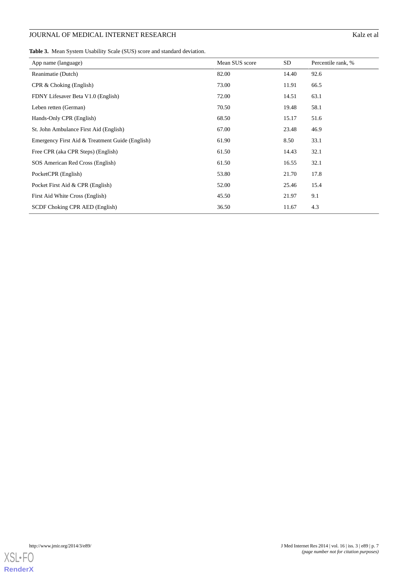<span id="page-6-0"></span>**Table 3.** Mean System Usability Scale (SUS) score and standard deviation.

| App name (language)                             | Mean SUS score | SD    | Percentile rank, % |
|-------------------------------------------------|----------------|-------|--------------------|
| Reanimatie (Dutch)                              | 82.00          | 14.40 | 92.6               |
| CPR & Choking (English)                         | 73.00          | 11.91 | 66.5               |
| FDNY Lifesaver Beta V1.0 (English)              | 72.00          | 14.51 | 63.1               |
| Leben retten (German)                           | 70.50          | 19.48 | 58.1               |
| Hands-Only CPR (English)                        | 68.50          | 15.17 | 51.6               |
| St. John Ambulance First Aid (English)          | 67.00          | 23.48 | 46.9               |
| Emergency First Aid & Treatment Guide (English) | 61.90          | 8.50  | 33.1               |
| Free CPR (aka CPR Steps) (English)              | 61.50          | 14.43 | 32.1               |
| SOS American Red Cross (English)                | 61.50          | 16.55 | 32.1               |
| PocketCPR (English)                             | 53.80          | 21.70 | 17.8               |
| Pocket First Aid & CPR (English)                | 52.00          | 25.46 | 15.4               |
| First Aid White Cross (English)                 | 45.50          | 21.97 | 9.1                |
| SCDF Choking CPR AED (English)                  | 36.50          | 11.67 | 4.3                |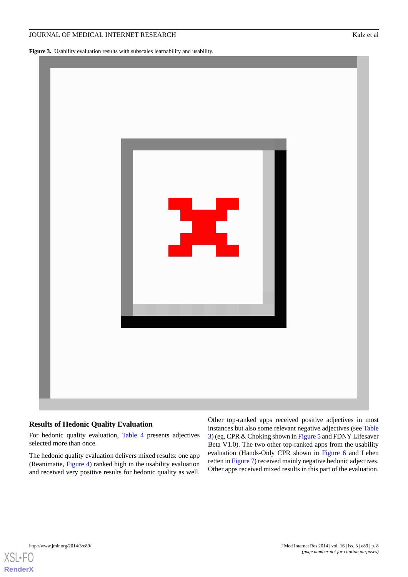<span id="page-7-0"></span>Figure 3. Usability evaluation results with subscales learnability and usability.



#### **Results of Hedonic Quality Evaluation**

For hedonic quality evaluation, [Table 4](#page-8-0) presents adjectives selected more than once.

The hedonic quality evaluation delivers mixed results: one app (Reanimatie, [Figure 4\)](#page-8-1) ranked high in the usability evaluation and received very positive results for hedonic quality as well.

Other top-ranked apps received positive adjectives in most instances but also some relevant negative adjectives (see [Table](#page-6-0) [3\)](#page-6-0) (eg, CPR & Choking shown in [Figure 5](#page-9-0) and FDNY Lifesaver Beta V1.0). The two other top-ranked apps from the usability evaluation (Hands-Only CPR shown in [Figure 6](#page-9-1) and Leben retten in [Figure 7](#page-10-0)) received mainly negative hedonic adjectives. Other apps received mixed results in this part of the evaluation.

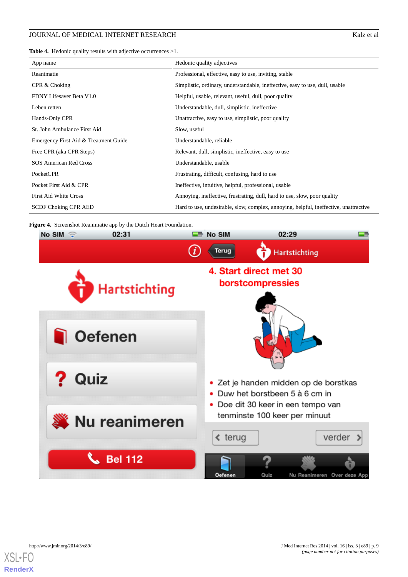<span id="page-8-0"></span>**Table 4.** Hedonic quality results with adjective occurrences >1.

| App name                              | Hedonic quality adjectives                                                            |
|---------------------------------------|---------------------------------------------------------------------------------------|
| Reanimatie                            | Professional, effective, easy to use, inviting, stable                                |
| CPR & Choking                         | Simplistic, ordinary, understandable, ineffective, easy to use, dull, usable          |
| FDNY Lifesaver Beta V1.0              | Helpful, usable, relevant, useful, dull, poor quality                                 |
| Leben retten                          | Understandable, dull, simplistic, ineffective                                         |
| Hands-Only CPR                        | Unattractive, easy to use, simplistic, poor quality                                   |
| St. John Ambulance First Aid          | Slow, useful                                                                          |
| Emergency First Aid & Treatment Guide | Understandable, reliable                                                              |
| Free CPR (aka CPR Steps)              | Relevant, dull, simplistic, ineffective, easy to use                                  |
| SOS American Red Cross                | Understandable, usable                                                                |
| PocketCPR                             | Frustrating, difficult, confusing, hard to use                                        |
| Pocket First Aid & CPR                | Ineffective, intuitive, helpful, professional, usable                                 |
| <b>First Aid White Cross</b>          | Annoying, ineffective, frustrating, dull, hard to use, slow, poor quality             |
| <b>SCDF Choking CPR AED</b>           | Hard to use, undesirable, slow, complex, annoying, helpful, ineffective, unattractive |

<span id="page-8-1"></span>**Figure 4.** Screenshot Reanimatie app by the Dutch Heart Foundation.



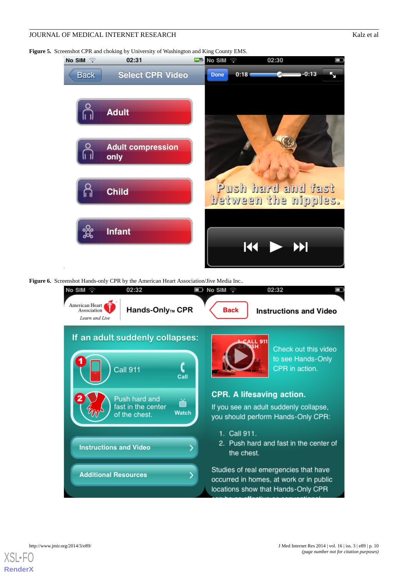<span id="page-9-0"></span>**Figure 5.** Screenshot CPR and choking by University of Washington and King County EMS.



<span id="page-9-1"></span>**Figure 6.** Screenshot Hands-only CPR by the American Heart Association/Jive Media Inc..



[XSL](http://www.w3.org/Style/XSL)•FO **[RenderX](http://www.renderx.com/)**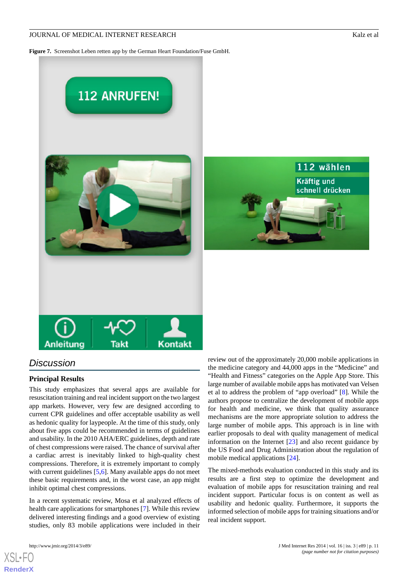112 wählen

**Kräftig und** schnell drücken

<span id="page-10-0"></span>**Figure 7.** Screenshot Leben retten app by the German Heart Foundation/Fuse GmbH.



# *Discussion*

# **Principal Results**

This study emphasizes that several apps are available for resuscitation training and real incident support on the two largest app markets. However, very few are designed according to current CPR guidelines and offer acceptable usability as well as hedonic quality for laypeople. At the time of this study, only about five apps could be recommended in terms of guidelines and usability. In the 2010 AHA/ERC guidelines, depth and rate of chest compressions were raised. The chance of survival after a cardiac arrest is inevitably linked to high-quality chest compressions. Therefore, it is extremely important to comply with current guidelines [\[5](#page-12-4),[6](#page-12-5)]. Many available apps do not meet these basic requirements and, in the worst case, an app might inhibit optimal chest compressions.

In a recent systematic review, Mosa et al analyzed effects of health care applications for smartphones [[7\]](#page-12-6). While this review delivered interesting findings and a good overview of existing studies, only 83 mobile applications were included in their

[XSL](http://www.w3.org/Style/XSL)•FO **[RenderX](http://www.renderx.com/)**



The mixed-methods evaluation conducted in this study and its results are a first step to optimize the development and evaluation of mobile apps for resuscitation training and real incident support. Particular focus is on content as well as usability and hedonic quality. Furthermore, it supports the informed selection of mobile apps for training situations and/or real incident support.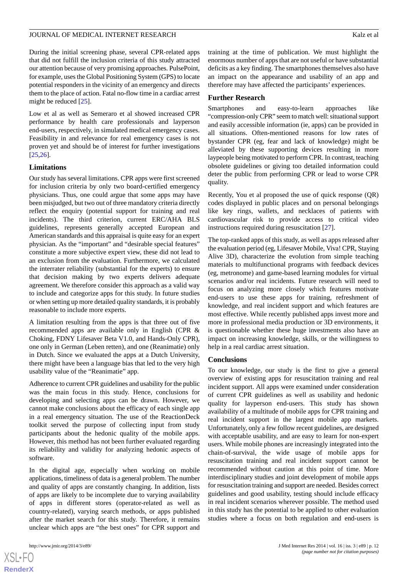During the initial screening phase, several CPR-related apps that did not fulfill the inclusion criteria of this study attracted our attention because of very promising approaches. PulsePoint, for example, uses the Global Positioning System (GPS) to locate potential responders in the vicinity of an emergency and directs them to the place of action. Fatal no-flow time in a cardiac arrest might be reduced [[25\]](#page-13-11).

Low et al as well as Semeraro et al showed increased CPR performance by health care professionals and layperson end-users, respectively, in simulated medical emergency cases. Feasibility in and relevance for real emergency cases is not proven yet and should be of interest for further investigations [[25](#page-13-11)[,26](#page-13-12)].

#### **Limitations**

Our study has several limitations. CPR apps were first screened for inclusion criteria by only two board-certified emergency physicians. Thus, one could argue that some apps may have been misjudged, but two out of three mandatory criteria directly reflect the enquiry (potential support for training and real incidents). The third criterion, current ERC/AHA BLS guidelines, represents generally accepted European and American standards and this appraisal is quite easy for an expert physician. As the "important" and "desirable special features" constitute a more subjective expert view, these did not lead to an exclusion from the evaluation. Furthermore, we calculated the interrater reliability (substantial for the experts) to ensure that decision making by two experts delivers adequate agreement. We therefore consider this approach as a valid way to include and categorize apps for this study. In future studies or when setting up more detailed quality standards, it is probably reasonable to include more experts.

A limitation resulting from the apps is that three out of five recommended apps are available only in English (CPR & Choking, FDNY Lifesaver Beta V1.0, and Hands-Only CPR), one only in German (Leben retten), and one (Reanimatie) only in Dutch. Since we evaluated the apps at a Dutch University, there might have been a language bias that led to the very high usability value of the "Reanimatie" app.

Adherence to current CPR guidelines and usability for the public was the main focus in this study. Hence, conclusions for developing and selecting apps can be drawn. However, we cannot make conclusions about the efficacy of each single app in a real emergency situation. The use of the ReactionDeck toolkit served the purpose of collecting input from study participants about the hedonic quality of the mobile apps. However, this method has not been further evaluated regarding its reliability and validity for analyzing hedonic aspects of software.

In the digital age, especially when working on mobile applications, timeliness of data is a general problem. The number and quality of apps are constantly changing. In addition, lists of apps are likely to be incomplete due to varying availability of apps in different stores (operator-related as well as country-related), varying search methods, or apps published after the market search for this study. Therefore, it remains unclear which apps are "the best ones" for CPR support and

 $XS$  $\cdot$ FC **[RenderX](http://www.renderx.com/)** training at the time of publication. We must highlight the enormous number of apps that are not useful or have substantial deficits as a key finding. The smartphones themselves also have an impact on the appearance and usability of an app and therefore may have affected the participants' experiences.

#### **Further Research**

Smartphones and easy-to-learn approaches like "compression-only CPR" seem to match well: situational support and easily accessible information (ie, apps) can be provided in all situations. Often-mentioned reasons for low rates of bystander CPR (eg, fear and lack of knowledge) might be alleviated by these supporting devices resulting in more laypeople being motivated to perform CPR. In contrast, teaching obsolete guidelines or giving too detailed information could deter the public from performing CPR or lead to worse CPR quality.

Recently, You et al proposed the use of quick response (QR) codes displayed in public places and on personal belongings like key rings, wallets, and necklaces of patients with cardiovascular risk to provide access to critical video instructions required during resuscitation [[27\]](#page-13-13).

The top-ranked apps of this study, as well as apps released after the evaluation period (eg, Lifesaver Mobile, Viva! CPR, Staying Alive 3D), characterize the evolution from simple teaching materials to multifunctional programs with feedback devices (eg, metronome) and game-based learning modules for virtual scenarios and/or real incidents. Future research will need to focus on analyzing more closely which features motivate end-users to use these apps for training, refreshment of knowledge, and real incident support and which features are most effective. While recently published apps invest more and more in professional media production or 3D environments, it is questionable whether these huge investments also have an impact on increasing knowledge, skills, or the willingness to help in a real cardiac arrest situation.

#### **Conclusions**

To our knowledge, our study is the first to give a general overview of existing apps for resuscitation training and real incident support. All apps were examined under consideration of current CPR guidelines as well as usability and hedonic quality for layperson end-users. This study has shown availability of a multitude of mobile apps for CPR training and real incident support in the largest mobile app markets. Unfortunately, only a few follow recent guidelines, are designed with acceptable usability, and are easy to learn for non-expert users. While mobile phones are increasingly integrated into the chain-of-survival, the wide usage of mobile apps for resuscitation training and real incident support cannot be recommended without caution at this point of time. More interdisciplinary studies and joint development of mobile apps for resuscitation training and support are needed. Besides correct guidelines and good usability, testing should include efficacy in real incident scenarios wherever possible. The method used in this study has the potential to be applied to other evaluation studies where a focus on both regulation and end-users is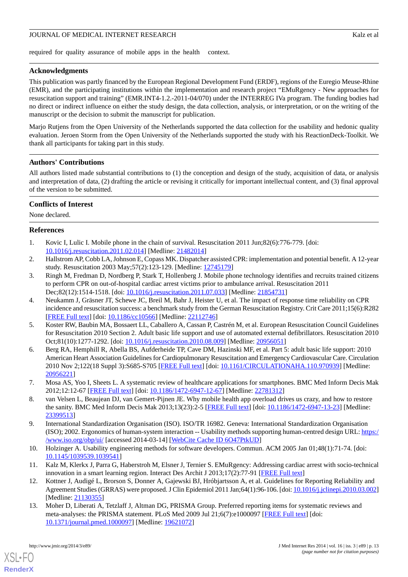required for quality assurance of mobile apps in the health context.

# **Acknowledgments**

This publication was partly financed by the European Regional Development Fund (ERDF), regions of the Euregio Meuse-Rhine (EMR), and the participating institutions within the implementation and research project "EMuRgency - New approaches for resuscitation support and training" (EMR.INT4-1.2.-2011-04/070) under the INTERREG IVa program. The funding bodies had no direct or indirect influence on either the study design, the data collection, analysis, or interpretation, or on the writing of the manuscript or the decision to submit the manuscript for publication.

Mario Rutiens from the Open University of the Netherlands supported the data collection for the usability and hedonic quality evaluation. Jeroen Storm from the Open University of the Netherlands supported the study with his ReactionDeck-Toolkit. We thank all participants for taking part in this study.

# **Authors' Contributions**

All authors listed made substantial contributions to (1) the conception and design of the study, acquisition of data, or analysis and interpretation of data, (2) drafting the article or revising it critically for important intellectual content, and (3) final approval of the version to be submitted.

# **Conflicts of Interest**

<span id="page-12-0"></span>None declared.

## <span id="page-12-1"></span>**References**

- <span id="page-12-2"></span>1. Kovic I, Lulic I. Mobile phone in the chain of survival. Resuscitation 2011 Jun;82(6):776-779. [doi: [10.1016/j.resuscitation.2011.02.014](http://dx.doi.org/10.1016/j.resuscitation.2011.02.014)] [Medline: [21482014\]](http://www.ncbi.nlm.nih.gov/entrez/query.fcgi?cmd=Retrieve&db=PubMed&list_uids=21482014&dopt=Abstract)
- 2. Hallstrom AP, Cobb LA, Johnson E, Copass MK. Dispatcher assisted CPR: implementation and potential benefit. A 12-year study. Resuscitation 2003 May;57(2):123-129. [Medline: [12745179](http://www.ncbi.nlm.nih.gov/entrez/query.fcgi?cmd=Retrieve&db=PubMed&list_uids=12745179&dopt=Abstract)]
- <span id="page-12-3"></span>3. Ringh M, Fredman D, Nordberg P, Stark T, Hollenberg J. Mobile phone technology identifies and recruits trained citizens to perform CPR on out-of-hospital cardiac arrest victims prior to ambulance arrival. Resuscitation 2011 Dec;82(12):1514-1518. [doi: [10.1016/j.resuscitation.2011.07.033](http://dx.doi.org/10.1016/j.resuscitation.2011.07.033)] [Medline: [21854731\]](http://www.ncbi.nlm.nih.gov/entrez/query.fcgi?cmd=Retrieve&db=PubMed&list_uids=21854731&dopt=Abstract)
- <span id="page-12-4"></span>4. Neukamm J, Gräsner JT, Schewe JC, Breil M, Bahr J, Heister U, et al. The impact of response time reliability on CPR incidence and resuscitation success: a benchmark study from the German Resuscitation Registry. Crit Care 2011;15(6):R282 [[FREE Full text](http://ccforum.com/content/15/6/R282)] [doi: [10.1186/cc10566\]](http://dx.doi.org/10.1186/cc10566) [Medline: [22112746](http://www.ncbi.nlm.nih.gov/entrez/query.fcgi?cmd=Retrieve&db=PubMed&list_uids=22112746&dopt=Abstract)]
- <span id="page-12-5"></span>5. Koster RW, Baubin MA, Bossaert LL, Caballero A, Cassan P, Castrén M, et al. European Resuscitation Council Guidelines for Resuscitation 2010 Section 2. Adult basic life support and use of automated external defibrillators. Resuscitation 2010 Oct;81(10):1277-1292. [doi: [10.1016/j.resuscitation.2010.08.009](http://dx.doi.org/10.1016/j.resuscitation.2010.08.009)] [Medline: [20956051](http://www.ncbi.nlm.nih.gov/entrez/query.fcgi?cmd=Retrieve&db=PubMed&list_uids=20956051&dopt=Abstract)]
- <span id="page-12-7"></span><span id="page-12-6"></span>6. Berg RA, Hemphill R, Abella BS, Aufderheide TP, Cave DM, Hazinski MF, et al. Part 5: adult basic life support: 2010 American Heart Association Guidelines for Cardiopulmonary Resuscitation and Emergency Cardiovascular Care. Circulation 2010 Nov 2;122(18 Suppl 3):S685-S705 [\[FREE Full text\]](http://circ.ahajournals.org/cgi/pmidlookup?view=long&pmid=20956221) [doi: [10.1161/CIRCULATIONAHA.110.970939](http://dx.doi.org/10.1161/CIRCULATIONAHA.110.970939)] [Medline: [20956221](http://www.ncbi.nlm.nih.gov/entrez/query.fcgi?cmd=Retrieve&db=PubMed&list_uids=20956221&dopt=Abstract)]
- <span id="page-12-8"></span>7. Mosa AS, Yoo I, Sheets L. A systematic review of healthcare applications for smartphones. BMC Med Inform Decis Mak 2012;12:12-67 [\[FREE Full text\]](http://www.biomedcentral.com/1472-6947/12/67) [doi: [10.1186/1472-6947-12-67](http://dx.doi.org/10.1186/1472-6947-12-67)] [Medline: [22781312\]](http://www.ncbi.nlm.nih.gov/entrez/query.fcgi?cmd=Retrieve&db=PubMed&list_uids=22781312&dopt=Abstract)
- <span id="page-12-9"></span>8. van Velsen L, Beaujean DJ, van Gemert-Pijnen JE. Why mobile health app overload drives us crazy, and how to restore the sanity. BMC Med Inform Decis Mak 2013;13(23):2-5 [[FREE Full text](http://www.biomedcentral.com/1472-6947/13/23)] [doi: [10.1186/1472-6947-13-23\]](http://dx.doi.org/10.1186/1472-6947-13-23) [Medline: [23399513](http://www.ncbi.nlm.nih.gov/entrez/query.fcgi?cmd=Retrieve&db=PubMed&list_uids=23399513&dopt=Abstract)]
- <span id="page-12-11"></span><span id="page-12-10"></span>9. International Standardization Organisation (ISO). ISO/TR 16982. Geneva: International Standardization Organisation (ISO); 2002. Ergonomics of human-system interaction -- Usability methods supporting human-centred design URL: [https:/](https://www.iso.org/obp/ui/) [/www.iso.org/obp/ui/](https://www.iso.org/obp/ui/) [accessed 2014-03-14] [\[WebCite Cache ID 6O47PtkUD](http://www.webcitation.org/

                                    6O47PtkUD)]
- <span id="page-12-12"></span>10. Holzinger A. Usability engineering methods for software developers. Commun. ACM 2005 Jan 01;48(1):71-74. [doi: [10.1145/1039539.1039541](http://dx.doi.org/10.1145/1039539.1039541)]
- 11. Kalz M, Klerkx J, Parra G, Haberstroh M, Elsner J, Ternier S. EMuRgency: Addressing cardiac arrest with socio-technical innovation in a smart learning region. Interact Des Archit J 2013;17(2):77-91 [[FREE Full text](http://www.mifav.uniroma2.it/inevent/events/idea2010/index.php?s=10&a=10&link=ToC_17_P&link=17_6_abstract)]
- 12. Kottner J, Audigé L, Brorson S, Donner A, Gajewski BJ, Hróbjartsson A, et al. Guidelines for Reporting Reliability and Agreement Studies (GRRAS) were proposed. J Clin Epidemiol 2011 Jan;64(1):96-106. [doi: [10.1016/j.jclinepi.2010.03.002\]](http://dx.doi.org/10.1016/j.jclinepi.2010.03.002) [Medline: [21130355](http://www.ncbi.nlm.nih.gov/entrez/query.fcgi?cmd=Retrieve&db=PubMed&list_uids=21130355&dopt=Abstract)]
- 13. Moher D, Liberati A, Tetzlaff J, Altman DG, PRISMA Group. Preferred reporting items for systematic reviews and meta-analyses: the PRISMA statement. PLoS Med 2009 Jul 21;6(7):e1000097 [[FREE Full text](http://dx.plos.org/10.1371/journal.pmed.1000097)] [doi: [10.1371/journal.pmed.1000097](http://dx.doi.org/10.1371/journal.pmed.1000097)] [Medline: [19621072](http://www.ncbi.nlm.nih.gov/entrez/query.fcgi?cmd=Retrieve&db=PubMed&list_uids=19621072&dopt=Abstract)]

[XSL](http://www.w3.org/Style/XSL)•FO **[RenderX](http://www.renderx.com/)**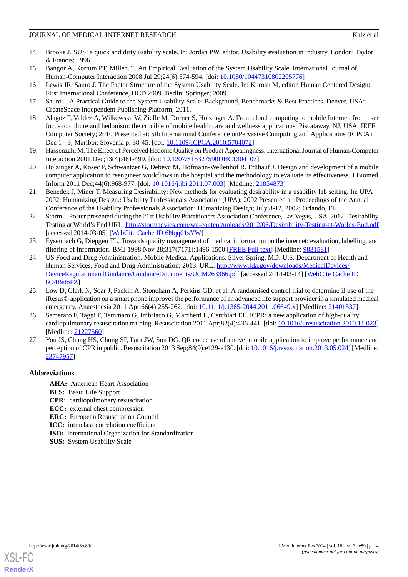- <span id="page-13-0"></span>14. Brooke J. SUS: a quick and dirty usability scale. In: Jordan PW, editor. Usability evaluation in industry. London: Taylor & Francis; 1996.
- <span id="page-13-2"></span><span id="page-13-1"></span>15. Bangor A, Kortum PT, Miller JT. An Empirical Evaluation of the System Usability Scale. International Journal of Human-Computer Interaction 2008 Jul 29;24(6):574-594. [doi: [10.1080/10447310802205776\]](http://dx.doi.org/10.1080/10447310802205776)
- <span id="page-13-3"></span>16. Lewis JR, Sauro J. The Factor Structure of the System Usability Scale. In: Kurosu M, editor. Human Centered Design: First International Conference, HCD 2009. Berlin: Springer; 2009.
- <span id="page-13-4"></span>17. Sauro J. A Practical Guide to the System Usability Scale: Background, Benchmarks & Best Practices. Denver, USA: CreateSpace Independent Publishing Platform; 2011.
- 18. Alagöz F, Valdez A, Wilkowska W, Ziefle M, Dorner S, Holzinger A. From cloud computing to mobile Internet, from user focus to culture and hedonism: the crucible of mobile health care and wellness applications. Piscataway, NJ, USA: IEEE Computer Society; 2010 Presented at: 5th International Conference onPervasive Computing and Applications (ICPCA); Dec 1 - 3; Maribor, Slovenia p. 38-45. [doi: [10.1109/ICPCA.2010.5704072\]](http://dx.doi.org/10.1109/ICPCA.2010.5704072)
- <span id="page-13-6"></span><span id="page-13-5"></span>19. Hassenzahl M. The Effect of Perceived Hedonic Quality on Product Appealingness. International Journal of Human-Computer Interaction 2001 Dec;13(4):481-499. [doi: [10.1207/S15327590IJHC1304\\_07\]](http://dx.doi.org/10.1207/S15327590IJHC1304_07)
- <span id="page-13-7"></span>20. Holzinger A, Kosec P, Schwantzer G, Debevc M, Hofmann-Wellenhof R, Frühauf J. Design and development of a mobile computer application to reengineer workflows in the hospital and the methodology to evaluate its effectiveness. J Biomed Inform 2011 Dec;44(6):968-977. [doi: [10.1016/j.jbi.2011.07.003\]](http://dx.doi.org/10.1016/j.jbi.2011.07.003) [Medline: [21854873\]](http://www.ncbi.nlm.nih.gov/entrez/query.fcgi?cmd=Retrieve&db=PubMed&list_uids=21854873&dopt=Abstract)
- <span id="page-13-8"></span>21. Benedek J, Miner T. Measuring Desirability: New methods for evaluating desirability in a usability lab setting. In: UPA 2002: Humanizing Design.: Usability Professionals Association (UPA); 2002 Presented at: Proceedings of the Annual Conference of the Usability Professionals Association: Humanizing Design; July 8-12, 2002; Orlando, FL.
- <span id="page-13-9"></span>22. Storm J. Poster presented during the 21st Usability Practitioners Association Conference, Las Vegas, USA. 2012. Desirability Testing at World's End URL:<http://stormadvies.com/wp-content/uploads/2012/06/Desirability-Testing-at-Worlds-End.pdf> [accessed 2014-03-05] [\[WebCite Cache ID 6Nqq01sYW\]](http://www.webcitation.org/

                                    6Nqq01sYW)
- <span id="page-13-10"></span>23. Eysenbach G, Diepgen TL. Towards quality management of medical information on the internet: evaluation, labelling, and filtering of information. BMJ 1998 Nov 28;317(7171):1496-1500 [\[FREE Full text\]](http://europepmc.org/abstract/MED/9831581) [Medline: [9831581\]](http://www.ncbi.nlm.nih.gov/entrez/query.fcgi?cmd=Retrieve&db=PubMed&list_uids=9831581&dopt=Abstract)
- <span id="page-13-11"></span>24. US Food and Drug Administration. Mobile Medical Applications. Silver Spring, MD: U.S. Department of Health and Human Services, Food and Drug Administration; 2013. URL: [http://www.fda.gov/downloads/MedicalDevices/](http://www.fda.gov/downloads/MedicalDevices/DeviceRegulationandGuidance/GuidanceDocuments/UCM263366.pdf) [DeviceRegulationandGuidance/GuidanceDocuments/UCM263366.pdf](http://www.fda.gov/downloads/MedicalDevices/DeviceRegulationandGuidance/GuidanceDocuments/UCM263366.pdf) [accessed 2014-03-14] [\[WebCite Cache ID](http://www.webcitation.org/

                                    6O4BstoPZ) [6O4BstoPZ\]](http://www.webcitation.org/

                                    6O4BstoPZ)
- <span id="page-13-12"></span>25. Low D, Clark N, Soar J, Padkin A, Stoneham A, Perkins GD, et al. A randomised control trial to determine if use of the iResus© application on a smart phone improves the performance of an advanced life support provider in a simulated medical emergency. Anaesthesia 2011 Apr;66(4):255-262. [doi: [10.1111/j.1365-2044.2011.06649.x\]](http://dx.doi.org/10.1111/j.1365-2044.2011.06649.x) [Medline: [21401537](http://www.ncbi.nlm.nih.gov/entrez/query.fcgi?cmd=Retrieve&db=PubMed&list_uids=21401537&dopt=Abstract)]
- <span id="page-13-13"></span>26. Semeraro F, Taggi F, Tammaro G, Imbriaco G, Marchetti L, Cerchiari EL. iCPR: a new application of high-quality cardiopulmonary resuscitation training. Resuscitation 2011 Apr;82(4):436-441. [doi: [10.1016/j.resuscitation.2010.11.023](http://dx.doi.org/10.1016/j.resuscitation.2010.11.023)] [Medline: [21227560](http://www.ncbi.nlm.nih.gov/entrez/query.fcgi?cmd=Retrieve&db=PubMed&list_uids=21227560&dopt=Abstract)]
- 27. You JS, Chung HS, Chung SP, Park JW, Son DG. QR code: use of a novel mobile application to improve performance and perception of CPR in public. Resuscitation 2013 Sep;84(9):e129-e130. [doi: [10.1016/j.resuscitation.2013.05.024](http://dx.doi.org/10.1016/j.resuscitation.2013.05.024)] [Medline: [23747957](http://www.ncbi.nlm.nih.gov/entrez/query.fcgi?cmd=Retrieve&db=PubMed&list_uids=23747957&dopt=Abstract)]

# **Abbreviations**

- **AHA:** American Heart Association
- **BLS:** Basic Life Support
- **CPR:** cardiopulmonary resuscitation
- **ECC:** external chest compression
- **ERC:** European Resuscitation Council
- **ICC:** intraclass correlation coefficient
- **ISO:** International Organization for Standardization
- **SUS:** System Usability Scale